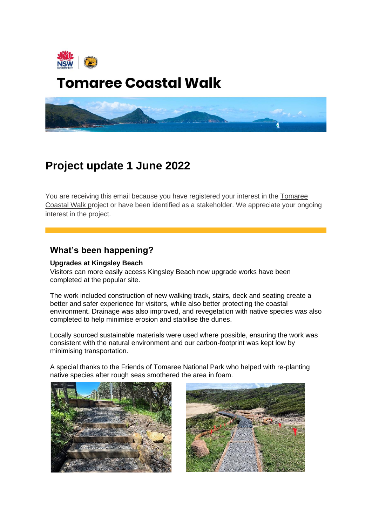

# **Tomaree Coastal Walk**



# **Project update 1 June 2022**

You are receiving this email because you have registered your interest in the Tomaree [Coastal Walk pr](http://www.environment.nsw.gov.au/tomareecoastalwalk)oject or have been identified as a stakeholder. We appreciate your ongoing interest in the project.

## **What's been happening?**

#### **Upgrades at Kingsley Beach**

Visitors can more easily access Kingsley Beach now upgrade works have been completed at the popular site.

The work included construction of new walking track, stairs, deck and seating create a better and safer experience for visitors, while also better protecting the coastal environment. Drainage was also improved, and revegetation with native species was also completed to help minimise erosion and stabilise the dunes.

Locally sourced sustainable materials were used where possible, ensuring the work was consistent with the natural environment and our carbon-footprint was kept low by minimising transportation.

A special thanks to the Friends of Tomaree National Park who helped with re-planting native species after rough seas smothered the area in foam.



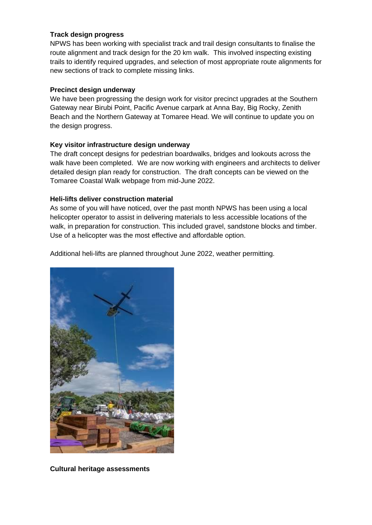#### **Track design progress**

NPWS has been working with specialist track and trail design consultants to finalise the route alignment and track design for the 20 km walk. This involved inspecting existing trails to identify required upgrades, and selection of most appropriate route alignments for new sections of track to complete missing links.

#### **Precinct design underway**

We have been progressing the design work for visitor precinct upgrades at the Southern Gateway near Birubi Point, Pacific Avenue carpark at Anna Bay, Big Rocky, Zenith Beach and the Northern Gateway at Tomaree Head. We will continue to update you on the design progress.

#### **Key visitor infrastructure design underway**

The draft concept designs for pedestrian boardwalks, bridges and lookouts across the walk have been completed. We are now working with engineers and architects to deliver detailed design plan ready for construction. The draft concepts can be viewed on the Tomaree Coastal Walk webpage from mid-June 2022.

#### **Heli-lifts deliver construction material**

As some of you will have noticed, over the past month NPWS has been using a local helicopter operator to assist in delivering materials to less accessible locations of the walk, in preparation for construction. This included gravel, sandstone blocks and timber. Use of a helicopter was the most effective and affordable option.

Additional heli-lifts are planned throughout June 2022, weather permitting.



**Cultural heritage assessments**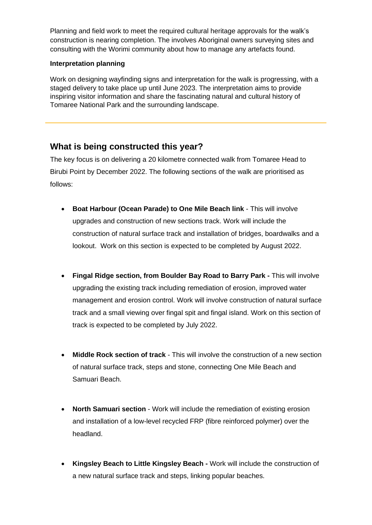Planning and field work to meet the required cultural heritage approvals for the walk's construction is nearing completion. The involves Aboriginal owners surveying sites and consulting with the Worimi community about how to manage any artefacts found.

#### **Interpretation planning**

Work on designing wayfinding signs and interpretation for the walk is progressing, with a staged delivery to take place up until June 2023. The interpretation aims to provide inspiring visitor information and share the fascinating natural and cultural history of Tomaree National Park and the surrounding landscape.

## **What is being constructed this year?**

The key focus is on delivering a 20 kilometre connected walk from Tomaree Head to Birubi Point by December 2022. The following sections of the walk are prioritised as follows:

- **Boat Harbour (Ocean Parade) to One Mile Beach link** This will involve upgrades and construction of new sections track. Work will include the construction of natural surface track and installation of bridges, boardwalks and a lookout. Work on this section is expected to be completed by August 2022.
- **Fingal Ridge section, from Boulder Bay Road to Barry Park -** This will involve upgrading the existing track including remediation of erosion, improved water management and erosion control. Work will involve construction of natural surface track and a small viewing over fingal spit and fingal island. Work on this section of track is expected to be completed by July 2022.
- **Middle Rock section of track** This will involve the construction of a new section of natural surface track, steps and stone, connecting One Mile Beach and Samuari Beach.
- **North Samuari section**  Work will include the remediation of existing erosion and installation of a low-level recycled FRP (fibre reinforced polymer) over the headland.
- **Kingsley Beach to Little Kingsley Beach -** Work will include the construction of a new natural surface track and steps, linking popular beaches.